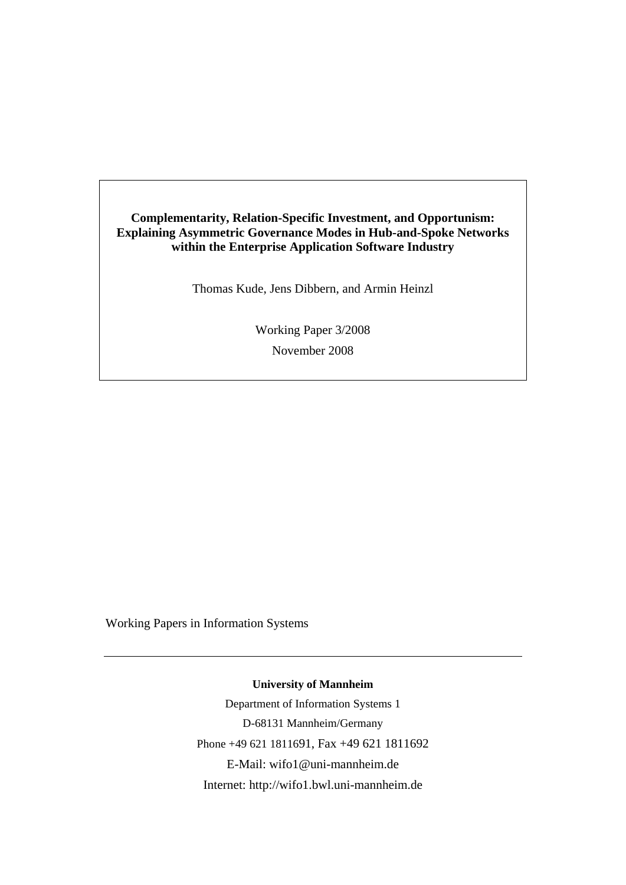# **Complementarity, Relation-Specific Investment, and Opportunism: Explaining Asymmetric Governance Modes in Hub-and-Spoke Networks within the Enterprise Application Software Industry**

Thomas Kude, Jens Dibbern, and Armin Heinzl

Working Paper 3/2008 November 2008

Working Papers in Information Systems

**University of Mannheim** 

Department of Information Systems 1 D-68131 Mannheim/Germany Phone +49 621 1811691, Fax +49 621 1811692 E-Mail: wifo1@uni-mannheim.de Internet: http://wifo1.bwl.uni-mannheim.de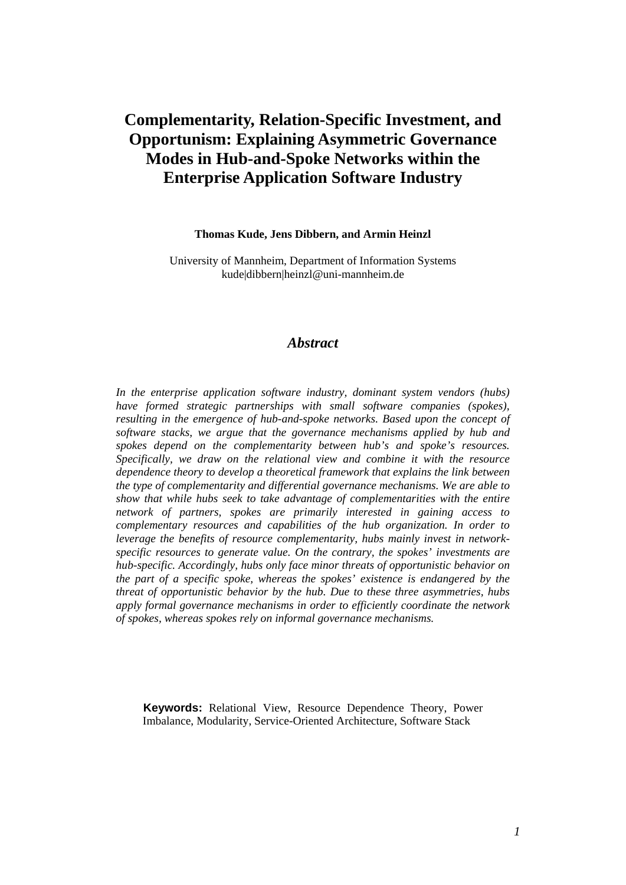# **Complementarity, Relation-Specific Investment, and Opportunism: Explaining Asymmetric Governance Modes in Hub-and-Spoke Networks within the Enterprise Application Software Industry**

#### **Thomas Kude, Jens Dibbern, and Armin Heinzl**

University of Mannheim, Department of Information Systems kude|dibbern|heinzl@uni-mannheim.de

## *Abstract*

*In the enterprise application software industry, dominant system vendors (hubs) have formed strategic partnerships with small software companies (spokes), resulting in the emergence of hub-and-spoke networks. Based upon the concept of software stacks, we argue that the governance mechanisms applied by hub and spokes depend on the complementarity between hub's and spoke's resources. Specifically, we draw on the relational view and combine it with the resource dependence theory to develop a theoretical framework that explains the link between the type of complementarity and differential governance mechanisms. We are able to show that while hubs seek to take advantage of complementarities with the entire network of partners, spokes are primarily interested in gaining access to complementary resources and capabilities of the hub organization. In order to leverage the benefits of resource complementarity, hubs mainly invest in networkspecific resources to generate value. On the contrary, the spokes' investments are hub-specific. Accordingly, hubs only face minor threats of opportunistic behavior on the part of a specific spoke, whereas the spokes' existence is endangered by the threat of opportunistic behavior by the hub. Due to these three asymmetries, hubs apply formal governance mechanisms in order to efficiently coordinate the network of spokes, whereas spokes rely on informal governance mechanisms.* 

**Keywords:** Relational View, Resource Dependence Theory, Power Imbalance, Modularity, Service-Oriented Architecture, Software Stack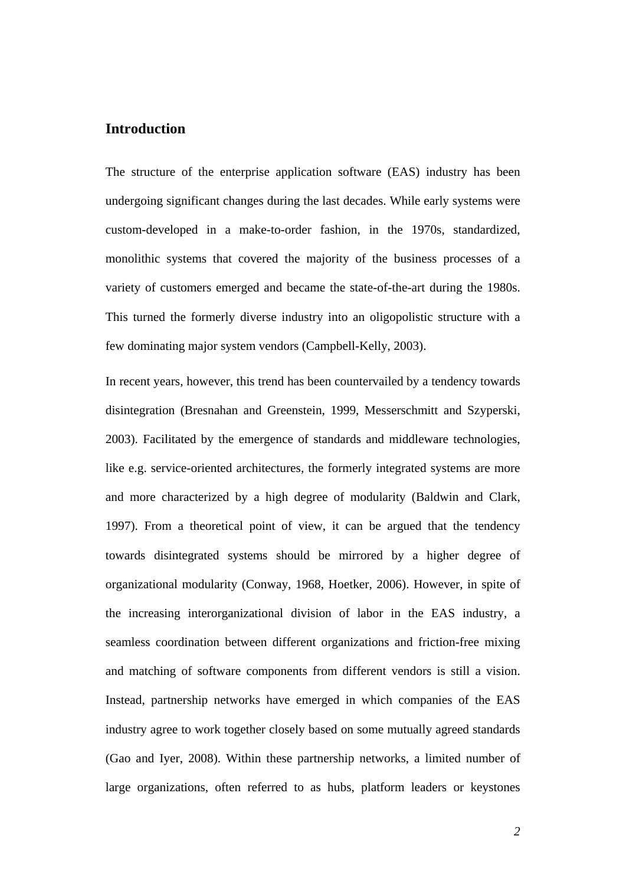# **Introduction**

The structure of the enterprise application software (EAS) industry has been undergoing significant changes during the last decades. While early systems were custom-developed in a make-to-order fashion, in the 1970s, standardized, monolithic systems that covered the majority of the business processes of a variety of customers emerged and became the state-of-the-art during the 1980s. This turned the formerly diverse industry into an oligopolistic structure with a few dominating major system vendors (Campbell-Kelly, 2003).

In recent years, however, this trend has been countervailed by a tendency towards disintegration (Bresnahan and Greenstein, 1999, Messerschmitt and Szyperski, 2003). Facilitated by the emergence of standards and middleware technologies, like e.g. service-oriented architectures, the formerly integrated systems are more and more characterized by a high degree of modularity (Baldwin and Clark, 1997). From a theoretical point of view, it can be argued that the tendency towards disintegrated systems should be mirrored by a higher degree of organizational modularity (Conway, 1968, Hoetker, 2006). However, in spite of the increasing interorganizational division of labor in the EAS industry, a seamless coordination between different organizations and friction-free mixing and matching of software components from different vendors is still a vision. Instead, partnership networks have emerged in which companies of the EAS industry agree to work together closely based on some mutually agreed standards (Gao and Iyer, 2008). Within these partnership networks, a limited number of large organizations, often referred to as hubs, platform leaders or keystones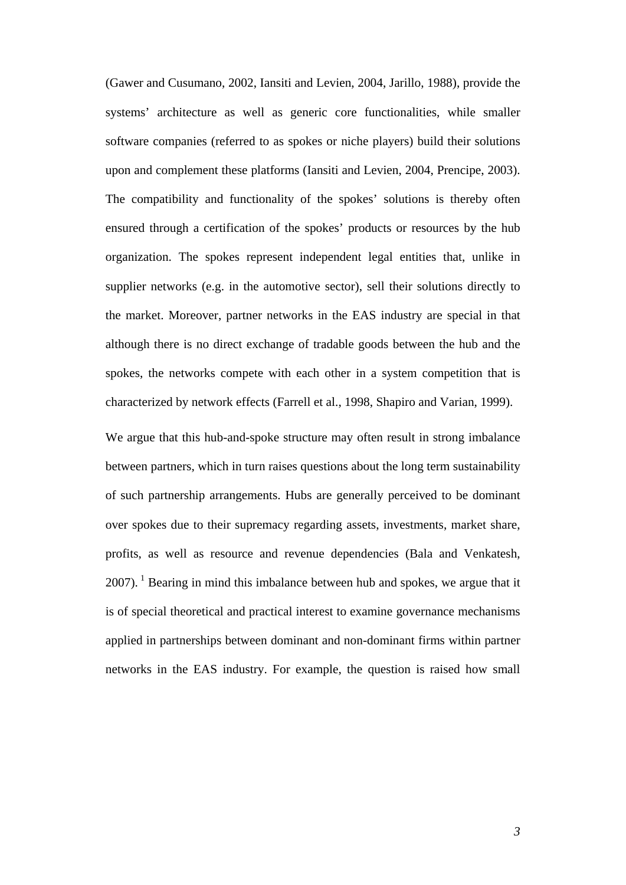(Gawer and Cusumano, 2002, Iansiti and Levien, 2004, Jarillo, 1988), provide the systems' architecture as well as generic core functionalities, while smaller software companies (referred to as spokes or niche players) build their solutions upon and complement these platforms (Iansiti and Levien, 2004, Prencipe, 2003). The compatibility and functionality of the spokes' solutions is thereby often ensured through a certification of the spokes' products or resources by the hub organization. The spokes represent independent legal entities that, unlike in supplier networks (e.g. in the automotive sector), sell their solutions directly to the market. Moreover, partner networks in the EAS industry are special in that although there is no direct exchange of tradable goods between the hub and the spokes, the networks compete with each other in a system competition that is characterized by network effects (Farrell et al., 1998, Shapiro and Varian, 1999).

We argue that this hub-and-spoke structure may often result in strong imbalance between partners, which in turn raises questions about the long term sustainability of such partnership arrangements. Hubs are generally perceived to be dominant over spokes due to their supremacy regarding assets, investments, market share, profits, as well as resource and revenue dependencies (Bala and Venkatesh,  $2007$ ). <sup>1</sup> Bearing in mind this imbalance between hub and spokes, we argue that it is of special theoretical and practical interest to examine governance mechanisms applied in partnerships between dominant and non-dominant firms within partner networks in the EAS industry. For example, the question is raised how small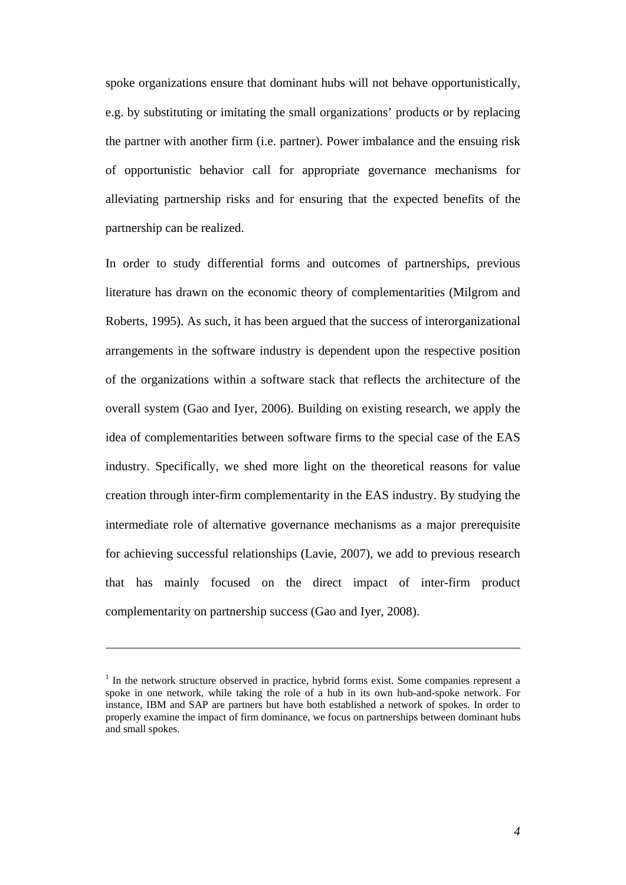spoke organizations ensure that dominant hubs will not behave opportunistically, e.g. by substituting or imitating the small organizations' products or by replacing the partner with another firm (i.e. partner). Power imbalance and the ensuing risk of opportunistic behavior call for appropriate governance mechanisms for alleviating partnership risks and for ensuring that the expected benefits of the partnership can be realized.

In order to study differential forms and outcomes of partnerships, previous literature has drawn on the economic theory of complementarities (Milgrom and Roberts, 1995). As such, it has been argued that the success of interorganizational arrangements in the software industry is dependent upon the respective position of the organizations within a software stack that reflects the architecture of the overall system (Gao and Iyer, 2006). Building on existing research, we apply the idea of complementarities between software firms to the special case of the EAS industry. Specifically, we shed more light on the theoretical reasons for value creation through inter-firm complementarity in the EAS industry. By studying the intermediate role of alternative governance mechanisms as a major prerequisite for achieving successful relationships (Lavie, 2007), we add to previous research that has mainly focused on the direct impact of inter-firm product complementarity on partnership success (Gao and Iyer, 2008).

<sup>&</sup>lt;sup>1</sup> In the network structure observed in practice, hybrid forms exist. Some companies represent a spoke in one network, while taking the role of a hub in its own hub-and-spoke network. For instance, IBM and SAP are partners but have both established a network of spokes. In order to properly examine the impact of firm dominance, we focus on partnerships between dominant hubs and small spokes.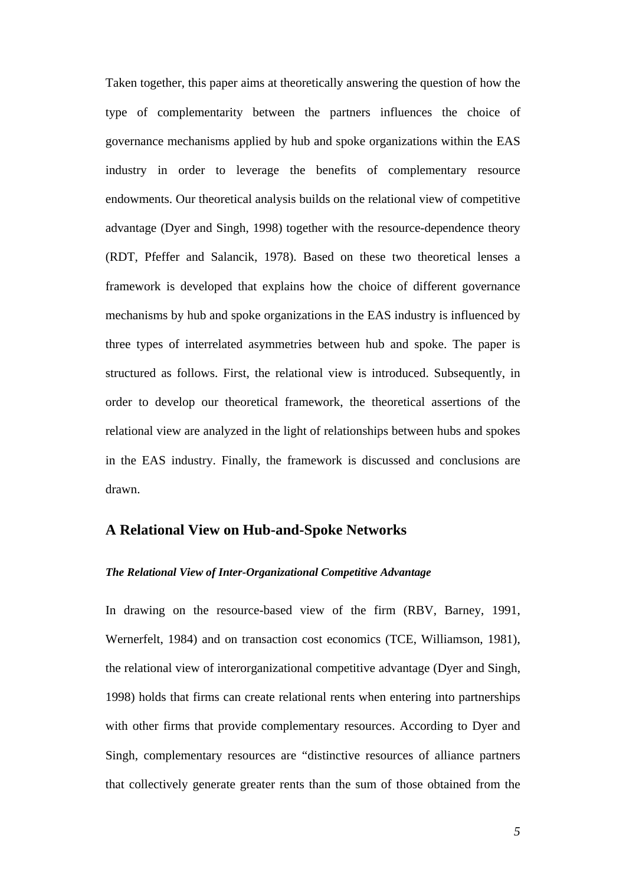Taken together, this paper aims at theoretically answering the question of how the type of complementarity between the partners influences the choice of governance mechanisms applied by hub and spoke organizations within the EAS industry in order to leverage the benefits of complementary resource endowments. Our theoretical analysis builds on the relational view of competitive advantage (Dyer and Singh, 1998) together with the resource-dependence theory (RDT, Pfeffer and Salancik, 1978). Based on these two theoretical lenses a framework is developed that explains how the choice of different governance mechanisms by hub and spoke organizations in the EAS industry is influenced by three types of interrelated asymmetries between hub and spoke. The paper is structured as follows. First, the relational view is introduced. Subsequently, in order to develop our theoretical framework, the theoretical assertions of the relational view are analyzed in the light of relationships between hubs and spokes in the EAS industry. Finally, the framework is discussed and conclusions are drawn.

## **A Relational View on Hub-and-Spoke Networks**

## *The Relational View of Inter-Organizational Competitive Advantage*

In drawing on the resource-based view of the firm (RBV, Barney, 1991, Wernerfelt, 1984) and on transaction cost economics (TCE, Williamson, 1981), the relational view of interorganizational competitive advantage (Dyer and Singh, 1998) holds that firms can create relational rents when entering into partnerships with other firms that provide complementary resources. According to Dyer and Singh, complementary resources are "distinctive resources of alliance partners that collectively generate greater rents than the sum of those obtained from the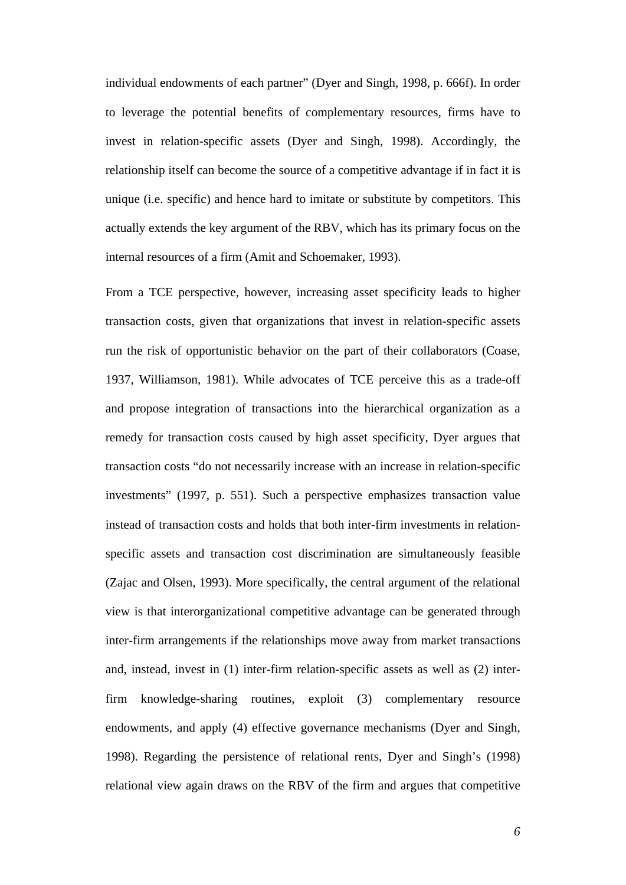individual endowments of each partner" (Dyer and Singh, 1998, p. 666f). In order to leverage the potential benefits of complementary resources, firms have to invest in relation-specific assets (Dyer and Singh, 1998). Accordingly, the relationship itself can become the source of a competitive advantage if in fact it is unique (i.e. specific) and hence hard to imitate or substitute by competitors. This actually extends the key argument of the RBV, which has its primary focus on the internal resources of a firm (Amit and Schoemaker, 1993).

From a TCE perspective, however, increasing asset specificity leads to higher transaction costs, given that organizations that invest in relation-specific assets run the risk of opportunistic behavior on the part of their collaborators (Coase, 1937, Williamson, 1981). While advocates of TCE perceive this as a trade-off and propose integration of transactions into the hierarchical organization as a remedy for transaction costs caused by high asset specificity, Dyer argues that transaction costs "do not necessarily increase with an increase in relation-specific investments" (1997, p. 551). Such a perspective emphasizes transaction value instead of transaction costs and holds that both inter-firm investments in relationspecific assets and transaction cost discrimination are simultaneously feasible (Zajac and Olsen, 1993). More specifically, the central argument of the relational view is that interorganizational competitive advantage can be generated through inter-firm arrangements if the relationships move away from market transactions and, instead, invest in (1) inter-firm relation-specific assets as well as (2) interfirm knowledge-sharing routines, exploit (3) complementary resource endowments, and apply (4) effective governance mechanisms (Dyer and Singh, 1998). Regarding the persistence of relational rents, Dyer and Singh's (1998) relational view again draws on the RBV of the firm and argues that competitive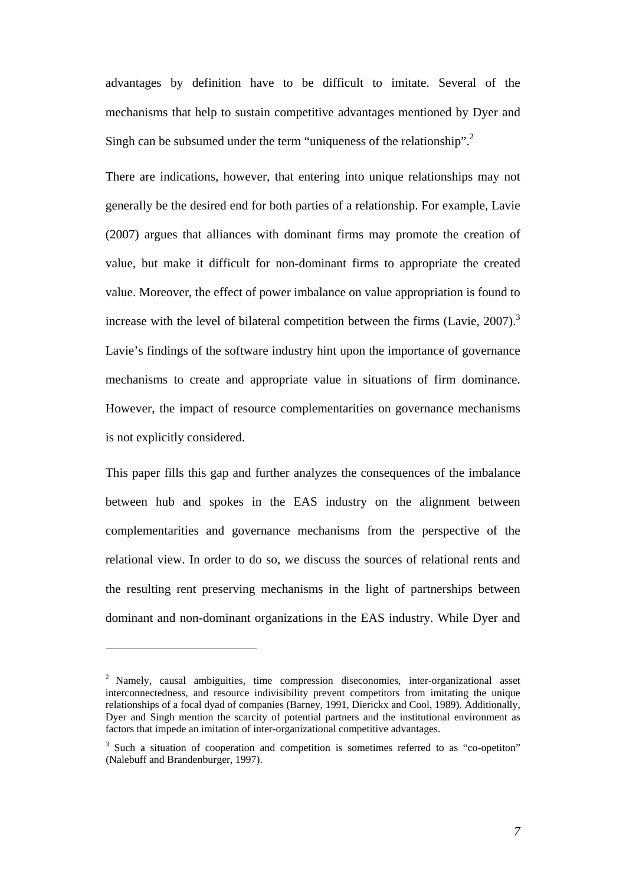advantages by definition have to be difficult to imitate. Several of the mechanisms that help to sustain competitive advantages mentioned by Dyer and Singh can be subsumed under the term "uniqueness of the relationship".<sup>2</sup>

There are indications, however, that entering into unique relationships may not generally be the desired end for both parties of a relationship. For example, Lavie (2007) argues that alliances with dominant firms may promote the creation of value, but make it difficult for non-dominant firms to appropriate the created value. Moreover, the effect of power imbalance on value appropriation is found to increase with the level of bilateral competition between the firms (Lavie,  $2007$ ).<sup>3</sup> Lavie's findings of the software industry hint upon the importance of governance mechanisms to create and appropriate value in situations of firm dominance. However, the impact of resource complementarities on governance mechanisms is not explicitly considered.

This paper fills this gap and further analyzes the consequences of the imbalance between hub and spokes in the EAS industry on the alignment between complementarities and governance mechanisms from the perspective of the relational view. In order to do so, we discuss the sources of relational rents and the resulting rent preserving mechanisms in the light of partnerships between dominant and non-dominant organizations in the EAS industry. While Dyer and

 $\overline{a}$ 

<sup>&</sup>lt;sup>2</sup> Namely, causal ambiguities, time compression diseconomies, inter-organizational asset interconnectedness, and resource indivisibility prevent competitors from imitating the unique relationships of a focal dyad of companies (Barney, 1991, Dierickx and Cool, 1989). Additionally, Dyer and Singh mention the scarcity of potential partners and the institutional environment as factors that impede an imitation of inter-organizational competitive advantages.

<sup>&</sup>lt;sup>3</sup> Such a situation of cooperation and competition is sometimes referred to as "co-opetiton" (Nalebuff and Brandenburger, 1997).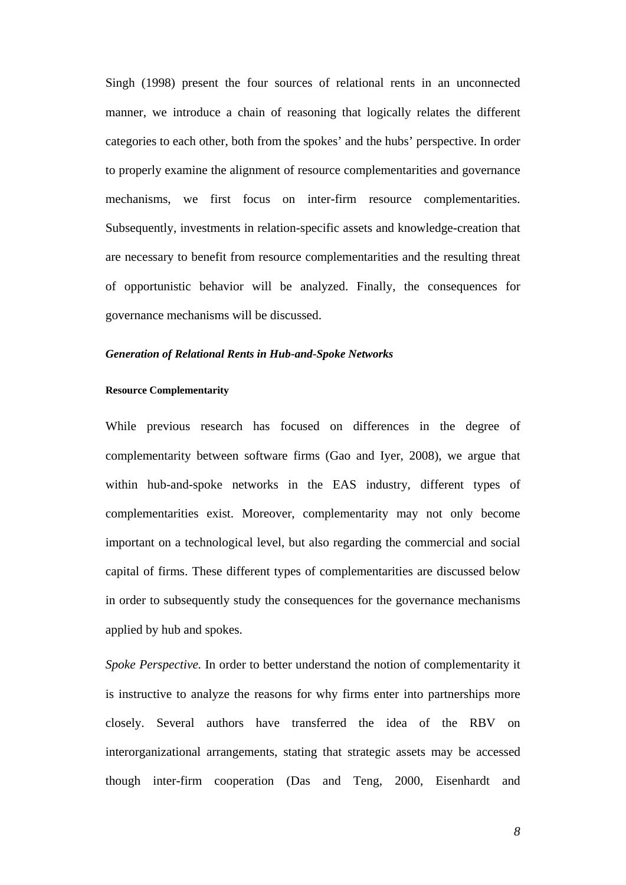Singh (1998) present the four sources of relational rents in an unconnected manner, we introduce a chain of reasoning that logically relates the different categories to each other, both from the spokes' and the hubs' perspective. In order to properly examine the alignment of resource complementarities and governance mechanisms, we first focus on inter-firm resource complementarities. Subsequently, investments in relation-specific assets and knowledge-creation that are necessary to benefit from resource complementarities and the resulting threat of opportunistic behavior will be analyzed. Finally, the consequences for governance mechanisms will be discussed.

### *Generation of Relational Rents in Hub-and-Spoke Networks*

### **Resource Complementarity**

While previous research has focused on differences in the degree of complementarity between software firms (Gao and Iyer, 2008), we argue that within hub-and-spoke networks in the EAS industry, different types of complementarities exist. Moreover, complementarity may not only become important on a technological level, but also regarding the commercial and social capital of firms. These different types of complementarities are discussed below in order to subsequently study the consequences for the governance mechanisms applied by hub and spokes.

*Spoke Perspective.* In order to better understand the notion of complementarity it is instructive to analyze the reasons for why firms enter into partnerships more closely. Several authors have transferred the idea of the RBV on interorganizational arrangements, stating that strategic assets may be accessed though inter-firm cooperation (Das and Teng, 2000, Eisenhardt and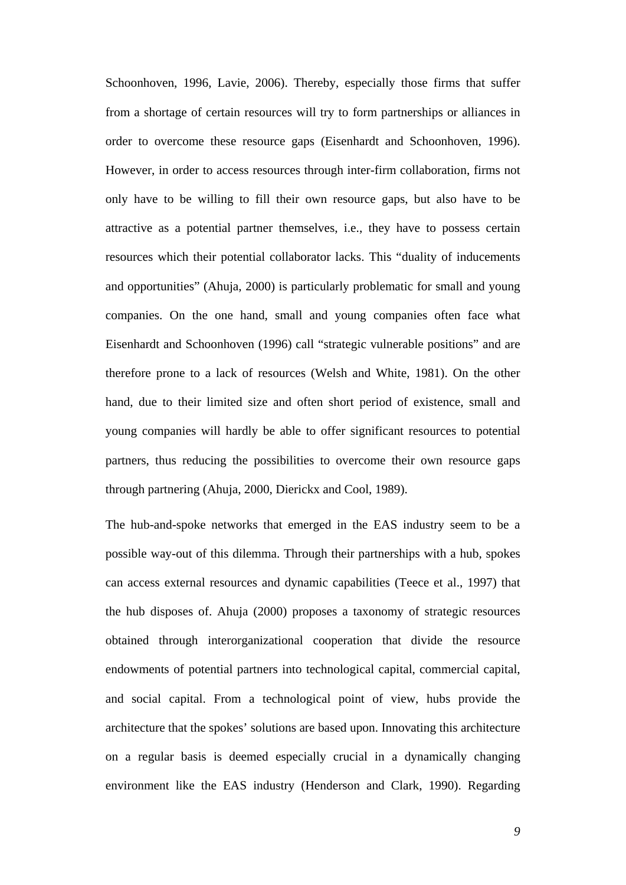Schoonhoven, 1996, Lavie, 2006). Thereby, especially those firms that suffer from a shortage of certain resources will try to form partnerships or alliances in order to overcome these resource gaps (Eisenhardt and Schoonhoven, 1996). However, in order to access resources through inter-firm collaboration, firms not only have to be willing to fill their own resource gaps, but also have to be attractive as a potential partner themselves, i.e., they have to possess certain resources which their potential collaborator lacks. This "duality of inducements and opportunities" (Ahuja, 2000) is particularly problematic for small and young companies. On the one hand, small and young companies often face what Eisenhardt and Schoonhoven (1996) call "strategic vulnerable positions" and are therefore prone to a lack of resources (Welsh and White, 1981). On the other hand, due to their limited size and often short period of existence, small and young companies will hardly be able to offer significant resources to potential partners, thus reducing the possibilities to overcome their own resource gaps through partnering (Ahuja, 2000, Dierickx and Cool, 1989).

The hub-and-spoke networks that emerged in the EAS industry seem to be a possible way-out of this dilemma. Through their partnerships with a hub, spokes can access external resources and dynamic capabilities (Teece et al., 1997) that the hub disposes of. Ahuja (2000) proposes a taxonomy of strategic resources obtained through interorganizational cooperation that divide the resource endowments of potential partners into technological capital, commercial capital, and social capital. From a technological point of view, hubs provide the architecture that the spokes' solutions are based upon. Innovating this architecture on a regular basis is deemed especially crucial in a dynamically changing environment like the EAS industry (Henderson and Clark, 1990). Regarding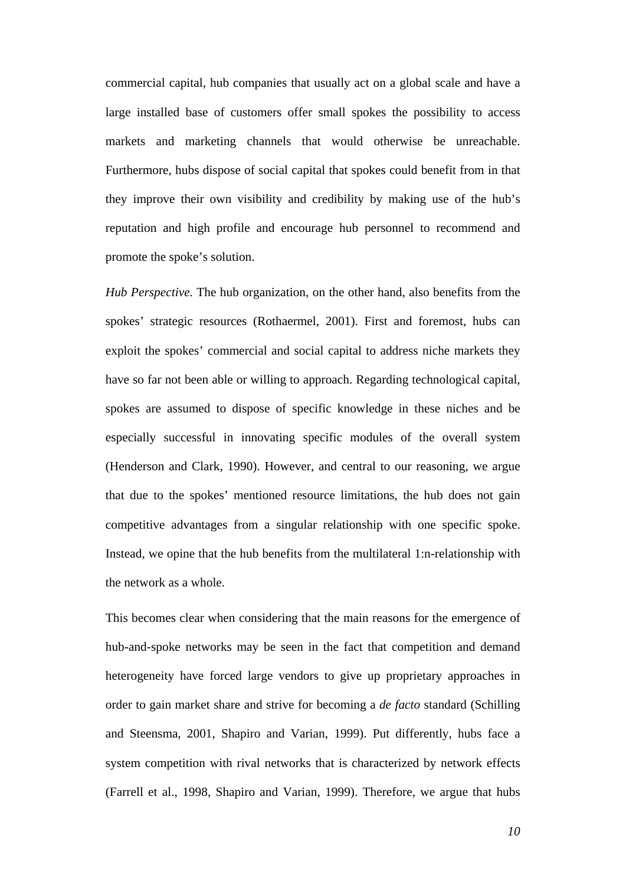commercial capital, hub companies that usually act on a global scale and have a large installed base of customers offer small spokes the possibility to access markets and marketing channels that would otherwise be unreachable. Furthermore, hubs dispose of social capital that spokes could benefit from in that they improve their own visibility and credibility by making use of the hub's reputation and high profile and encourage hub personnel to recommend and promote the spoke's solution.

*Hub Perspective.* The hub organization, on the other hand, also benefits from the spokes' strategic resources (Rothaermel, 2001). First and foremost, hubs can exploit the spokes' commercial and social capital to address niche markets they have so far not been able or willing to approach. Regarding technological capital, spokes are assumed to dispose of specific knowledge in these niches and be especially successful in innovating specific modules of the overall system (Henderson and Clark, 1990). However, and central to our reasoning, we argue that due to the spokes' mentioned resource limitations, the hub does not gain competitive advantages from a singular relationship with one specific spoke. Instead, we opine that the hub benefits from the multilateral 1:n-relationship with the network as a whole.

This becomes clear when considering that the main reasons for the emergence of hub-and-spoke networks may be seen in the fact that competition and demand heterogeneity have forced large vendors to give up proprietary approaches in order to gain market share and strive for becoming a *de facto* standard (Schilling and Steensma, 2001, Shapiro and Varian, 1999). Put differently, hubs face a system competition with rival networks that is characterized by network effects (Farrell et al., 1998, Shapiro and Varian, 1999). Therefore, we argue that hubs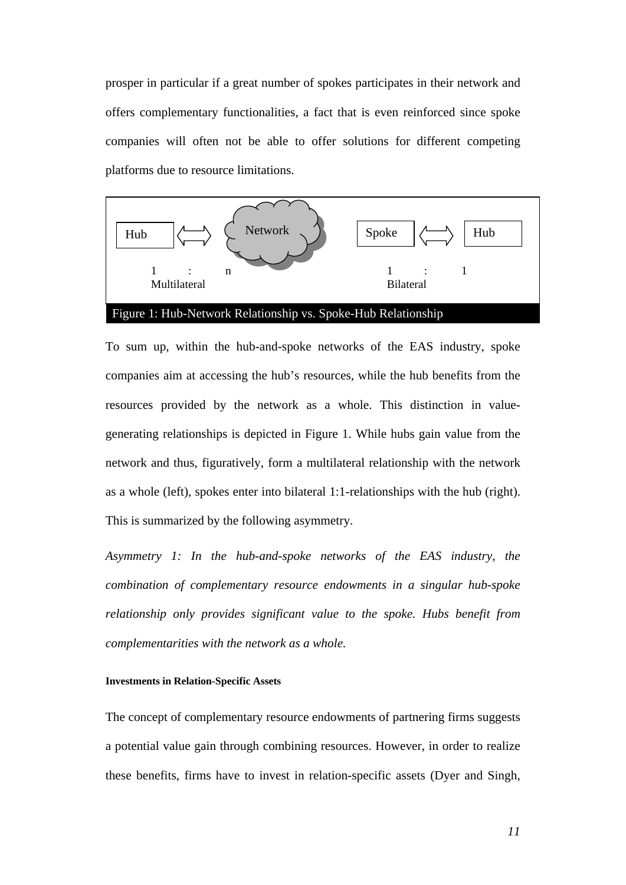prosper in particular if a great number of spokes participates in their network and offers complementary functionalities, a fact that is even reinforced since spoke companies will often not be able to offer solutions for different competing platforms due to resource limitations.



To sum up, within the hub-and-spoke networks of the EAS industry, spoke companies aim at accessing the hub's resources, while the hub benefits from the resources provided by the network as a whole. This distinction in valuegenerating relationships is depicted in Figure 1. While hubs gain value from the network and thus, figuratively, form a multilateral relationship with the network as a whole (left), spokes enter into bilateral 1:1-relationships with the hub (right). This is summarized by the following asymmetry.

*Asymmetry 1: In the hub-and-spoke networks of the EAS industry, the combination of complementary resource endowments in a singular hub-spoke relationship only provides significant value to the spoke. Hubs benefit from complementarities with the network as a whole.* 

#### **Investments in Relation-Specific Assets**

The concept of complementary resource endowments of partnering firms suggests a potential value gain through combining resources. However, in order to realize these benefits, firms have to invest in relation-specific assets (Dyer and Singh,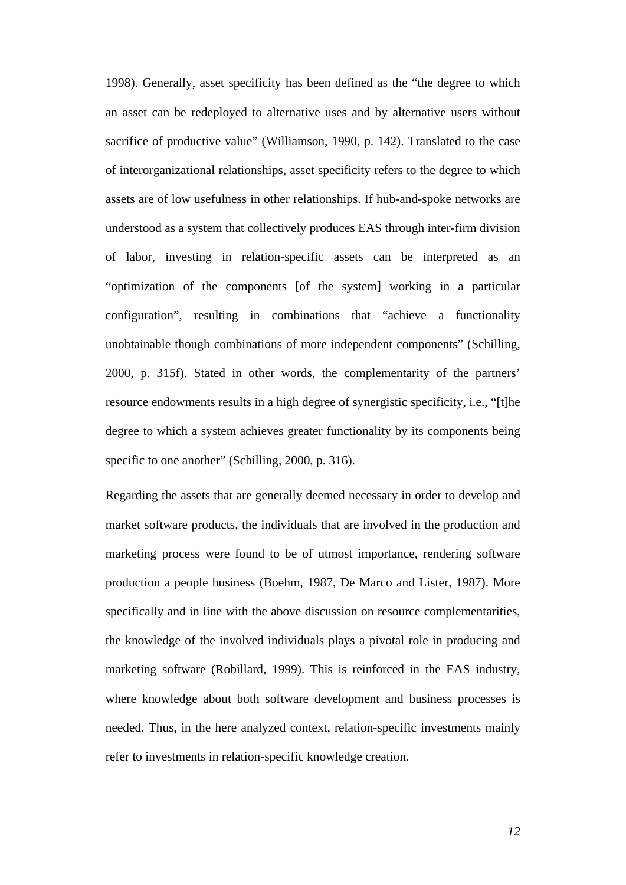1998). Generally, asset specificity has been defined as the "the degree to which an asset can be redeployed to alternative uses and by alternative users without sacrifice of productive value" (Williamson, 1990, p. 142). Translated to the case of interorganizational relationships, asset specificity refers to the degree to which assets are of low usefulness in other relationships. If hub-and-spoke networks are understood as a system that collectively produces EAS through inter-firm division of labor, investing in relation-specific assets can be interpreted as an "optimization of the components [of the system] working in a particular configuration", resulting in combinations that "achieve a functionality unobtainable though combinations of more independent components" (Schilling, 2000, p. 315f). Stated in other words, the complementarity of the partners' resource endowments results in a high degree of synergistic specificity, i.e., "[t]he degree to which a system achieves greater functionality by its components being specific to one another" (Schilling, 2000, p. 316).

Regarding the assets that are generally deemed necessary in order to develop and market software products, the individuals that are involved in the production and marketing process were found to be of utmost importance, rendering software production a people business (Boehm, 1987, De Marco and Lister, 1987). More specifically and in line with the above discussion on resource complementarities, the knowledge of the involved individuals plays a pivotal role in producing and marketing software (Robillard, 1999). This is reinforced in the EAS industry, where knowledge about both software development and business processes is needed. Thus, in the here analyzed context, relation-specific investments mainly refer to investments in relation-specific knowledge creation.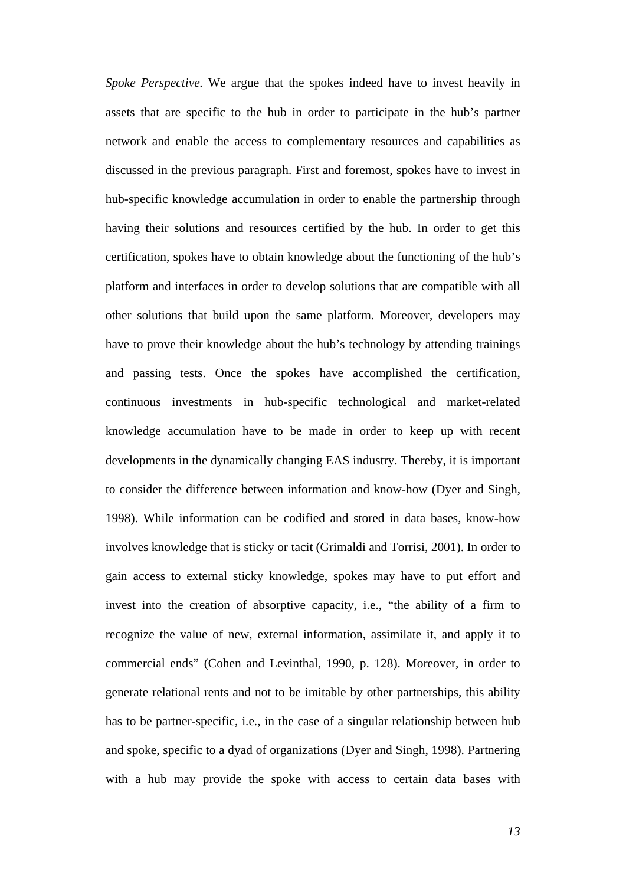*Spoke Perspective.* We argue that the spokes indeed have to invest heavily in assets that are specific to the hub in order to participate in the hub's partner network and enable the access to complementary resources and capabilities as discussed in the previous paragraph. First and foremost, spokes have to invest in hub-specific knowledge accumulation in order to enable the partnership through having their solutions and resources certified by the hub. In order to get this certification, spokes have to obtain knowledge about the functioning of the hub's platform and interfaces in order to develop solutions that are compatible with all other solutions that build upon the same platform. Moreover, developers may have to prove their knowledge about the hub's technology by attending trainings and passing tests. Once the spokes have accomplished the certification, continuous investments in hub-specific technological and market-related knowledge accumulation have to be made in order to keep up with recent developments in the dynamically changing EAS industry. Thereby, it is important to consider the difference between information and know-how (Dyer and Singh, 1998). While information can be codified and stored in data bases, know-how involves knowledge that is sticky or tacit (Grimaldi and Torrisi, 2001). In order to gain access to external sticky knowledge, spokes may have to put effort and invest into the creation of absorptive capacity, i.e., "the ability of a firm to recognize the value of new, external information, assimilate it, and apply it to commercial ends" (Cohen and Levinthal, 1990, p. 128). Moreover, in order to generate relational rents and not to be imitable by other partnerships, this ability has to be partner-specific, i.e., in the case of a singular relationship between hub and spoke, specific to a dyad of organizations (Dyer and Singh, 1998). Partnering with a hub may provide the spoke with access to certain data bases with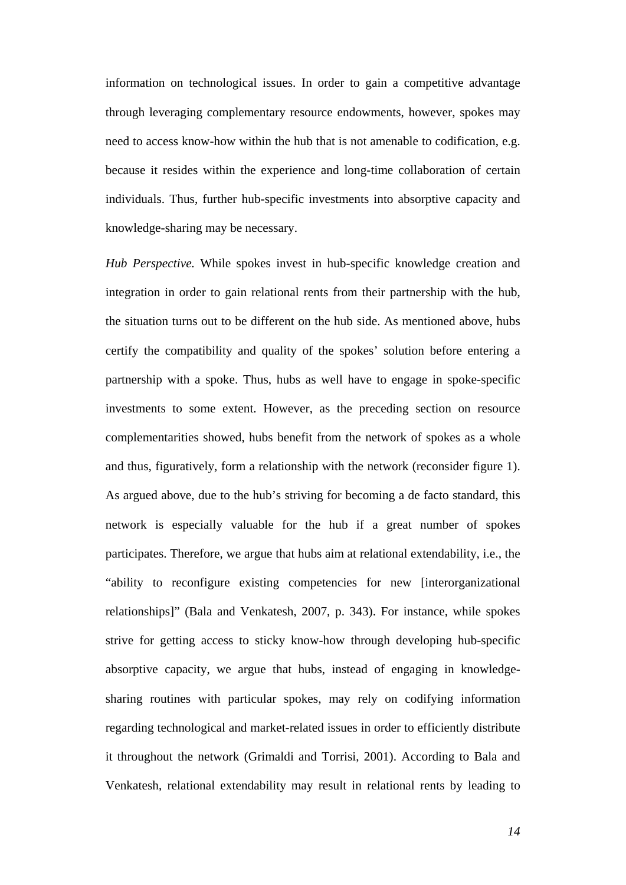information on technological issues. In order to gain a competitive advantage through leveraging complementary resource endowments, however, spokes may need to access know-how within the hub that is not amenable to codification, e.g. because it resides within the experience and long-time collaboration of certain individuals. Thus, further hub-specific investments into absorptive capacity and knowledge-sharing may be necessary.

*Hub Perspective.* While spokes invest in hub-specific knowledge creation and integration in order to gain relational rents from their partnership with the hub, the situation turns out to be different on the hub side. As mentioned above, hubs certify the compatibility and quality of the spokes' solution before entering a partnership with a spoke. Thus, hubs as well have to engage in spoke-specific investments to some extent. However, as the preceding section on resource complementarities showed, hubs benefit from the network of spokes as a whole and thus, figuratively, form a relationship with the network (reconsider figure 1). As argued above, due to the hub's striving for becoming a de facto standard, this network is especially valuable for the hub if a great number of spokes participates. Therefore, we argue that hubs aim at relational extendability, i.e., the "ability to reconfigure existing competencies for new [interorganizational relationships]" (Bala and Venkatesh, 2007, p. 343). For instance, while spokes strive for getting access to sticky know-how through developing hub-specific absorptive capacity, we argue that hubs, instead of engaging in knowledgesharing routines with particular spokes, may rely on codifying information regarding technological and market-related issues in order to efficiently distribute it throughout the network (Grimaldi and Torrisi, 2001). According to Bala and Venkatesh, relational extendability may result in relational rents by leading to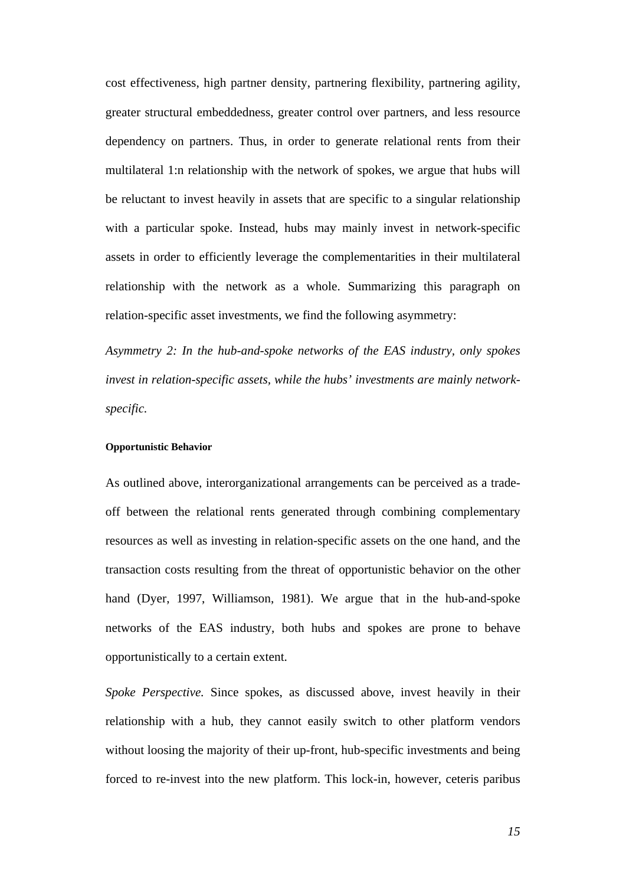cost effectiveness, high partner density, partnering flexibility, partnering agility, greater structural embeddedness, greater control over partners, and less resource dependency on partners. Thus, in order to generate relational rents from their multilateral 1:n relationship with the network of spokes, we argue that hubs will be reluctant to invest heavily in assets that are specific to a singular relationship with a particular spoke. Instead, hubs may mainly invest in network-specific assets in order to efficiently leverage the complementarities in their multilateral relationship with the network as a whole. Summarizing this paragraph on relation-specific asset investments, we find the following asymmetry:

*Asymmetry 2: In the hub-and-spoke networks of the EAS industry, only spokes invest in relation-specific assets, while the hubs' investments are mainly networkspecific.* 

## **Opportunistic Behavior**

As outlined above, interorganizational arrangements can be perceived as a tradeoff between the relational rents generated through combining complementary resources as well as investing in relation-specific assets on the one hand, and the transaction costs resulting from the threat of opportunistic behavior on the other hand (Dyer, 1997, Williamson, 1981). We argue that in the hub-and-spoke networks of the EAS industry, both hubs and spokes are prone to behave opportunistically to a certain extent.

*Spoke Perspective.* Since spokes, as discussed above, invest heavily in their relationship with a hub, they cannot easily switch to other platform vendors without loosing the majority of their up-front, hub-specific investments and being forced to re-invest into the new platform. This lock-in, however, ceteris paribus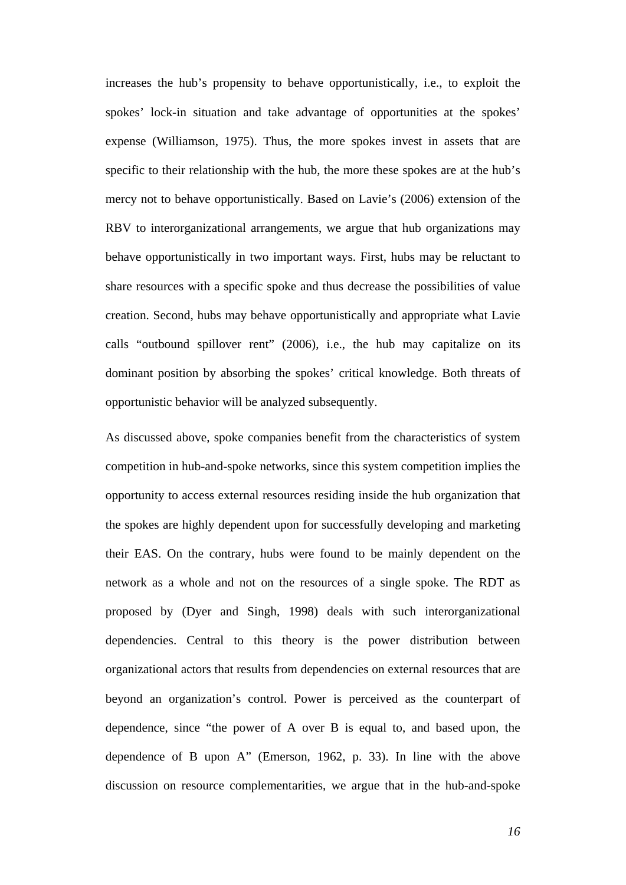increases the hub's propensity to behave opportunistically, i.e., to exploit the spokes' lock-in situation and take advantage of opportunities at the spokes' expense (Williamson, 1975). Thus, the more spokes invest in assets that are specific to their relationship with the hub, the more these spokes are at the hub's mercy not to behave opportunistically. Based on Lavie's (2006) extension of the RBV to interorganizational arrangements, we argue that hub organizations may behave opportunistically in two important ways. First, hubs may be reluctant to share resources with a specific spoke and thus decrease the possibilities of value creation. Second, hubs may behave opportunistically and appropriate what Lavie calls "outbound spillover rent" (2006), i.e., the hub may capitalize on its dominant position by absorbing the spokes' critical knowledge. Both threats of opportunistic behavior will be analyzed subsequently.

As discussed above, spoke companies benefit from the characteristics of system competition in hub-and-spoke networks, since this system competition implies the opportunity to access external resources residing inside the hub organization that the spokes are highly dependent upon for successfully developing and marketing their EAS. On the contrary, hubs were found to be mainly dependent on the network as a whole and not on the resources of a single spoke. The RDT as proposed by (Dyer and Singh, 1998) deals with such interorganizational dependencies. Central to this theory is the power distribution between organizational actors that results from dependencies on external resources that are beyond an organization's control. Power is perceived as the counterpart of dependence, since "the power of A over B is equal to, and based upon, the dependence of B upon A" (Emerson, 1962, p. 33). In line with the above discussion on resource complementarities, we argue that in the hub-and-spoke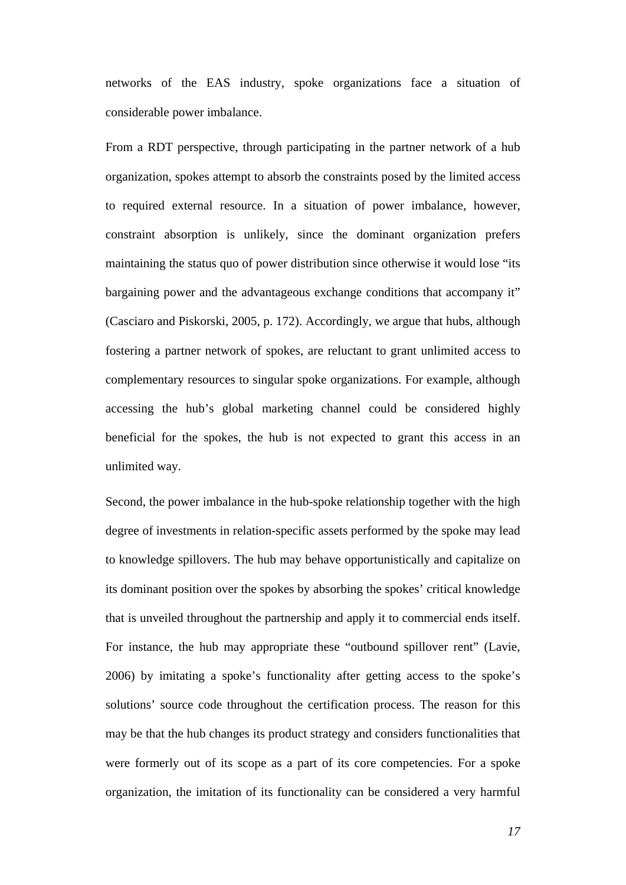networks of the EAS industry, spoke organizations face a situation of considerable power imbalance.

From a RDT perspective, through participating in the partner network of a hub organization, spokes attempt to absorb the constraints posed by the limited access to required external resource. In a situation of power imbalance, however, constraint absorption is unlikely, since the dominant organization prefers maintaining the status quo of power distribution since otherwise it would lose "its bargaining power and the advantageous exchange conditions that accompany it" (Casciaro and Piskorski, 2005, p. 172). Accordingly, we argue that hubs, although fostering a partner network of spokes, are reluctant to grant unlimited access to complementary resources to singular spoke organizations. For example, although accessing the hub's global marketing channel could be considered highly beneficial for the spokes, the hub is not expected to grant this access in an unlimited way.

Second, the power imbalance in the hub-spoke relationship together with the high degree of investments in relation-specific assets performed by the spoke may lead to knowledge spillovers. The hub may behave opportunistically and capitalize on its dominant position over the spokes by absorbing the spokes' critical knowledge that is unveiled throughout the partnership and apply it to commercial ends itself. For instance, the hub may appropriate these "outbound spillover rent" (Lavie, 2006) by imitating a spoke's functionality after getting access to the spoke's solutions' source code throughout the certification process. The reason for this may be that the hub changes its product strategy and considers functionalities that were formerly out of its scope as a part of its core competencies. For a spoke organization, the imitation of its functionality can be considered a very harmful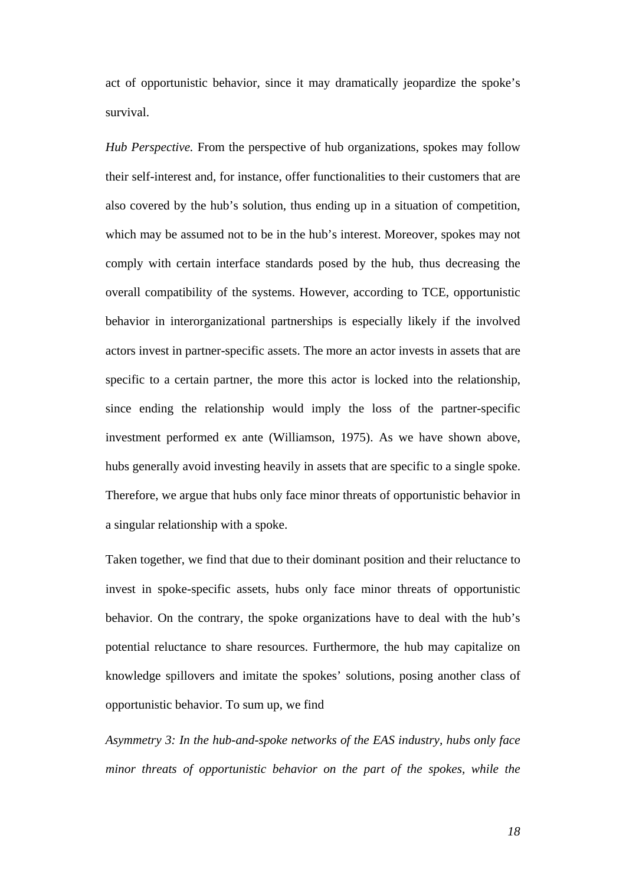act of opportunistic behavior, since it may dramatically jeopardize the spoke's survival.

*Hub Perspective.* From the perspective of hub organizations, spokes may follow their self-interest and, for instance, offer functionalities to their customers that are also covered by the hub's solution, thus ending up in a situation of competition, which may be assumed not to be in the hub's interest. Moreover, spokes may not comply with certain interface standards posed by the hub, thus decreasing the overall compatibility of the systems. However, according to TCE, opportunistic behavior in interorganizational partnerships is especially likely if the involved actors invest in partner-specific assets. The more an actor invests in assets that are specific to a certain partner, the more this actor is locked into the relationship, since ending the relationship would imply the loss of the partner-specific investment performed ex ante (Williamson, 1975). As we have shown above, hubs generally avoid investing heavily in assets that are specific to a single spoke. Therefore, we argue that hubs only face minor threats of opportunistic behavior in a singular relationship with a spoke.

Taken together, we find that due to their dominant position and their reluctance to invest in spoke-specific assets, hubs only face minor threats of opportunistic behavior. On the contrary, the spoke organizations have to deal with the hub's potential reluctance to share resources. Furthermore, the hub may capitalize on knowledge spillovers and imitate the spokes' solutions, posing another class of opportunistic behavior. To sum up, we find

*Asymmetry 3: In the hub-and-spoke networks of the EAS industry, hubs only face minor threats of opportunistic behavior on the part of the spokes, while the*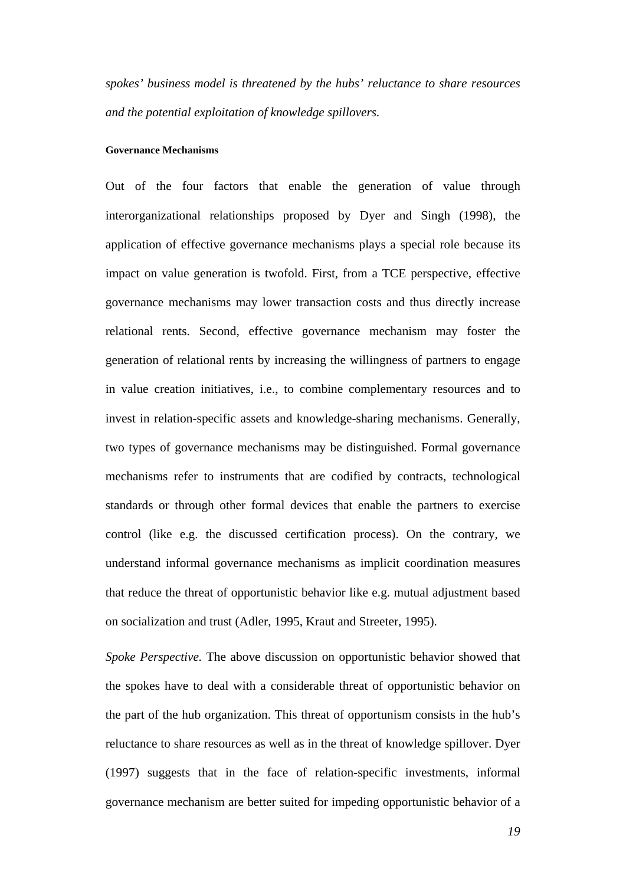*spokes' business model is threatened by the hubs' reluctance to share resources and the potential exploitation of knowledge spillovers.* 

#### **Governance Mechanisms**

Out of the four factors that enable the generation of value through interorganizational relationships proposed by Dyer and Singh (1998), the application of effective governance mechanisms plays a special role because its impact on value generation is twofold. First, from a TCE perspective, effective governance mechanisms may lower transaction costs and thus directly increase relational rents. Second, effective governance mechanism may foster the generation of relational rents by increasing the willingness of partners to engage in value creation initiatives, i.e., to combine complementary resources and to invest in relation-specific assets and knowledge-sharing mechanisms. Generally, two types of governance mechanisms may be distinguished. Formal governance mechanisms refer to instruments that are codified by contracts, technological standards or through other formal devices that enable the partners to exercise control (like e.g. the discussed certification process). On the contrary, we understand informal governance mechanisms as implicit coordination measures that reduce the threat of opportunistic behavior like e.g. mutual adjustment based on socialization and trust (Adler, 1995, Kraut and Streeter, 1995).

*Spoke Perspective.* The above discussion on opportunistic behavior showed that the spokes have to deal with a considerable threat of opportunistic behavior on the part of the hub organization. This threat of opportunism consists in the hub's reluctance to share resources as well as in the threat of knowledge spillover. Dyer (1997) suggests that in the face of relation-specific investments, informal governance mechanism are better suited for impeding opportunistic behavior of a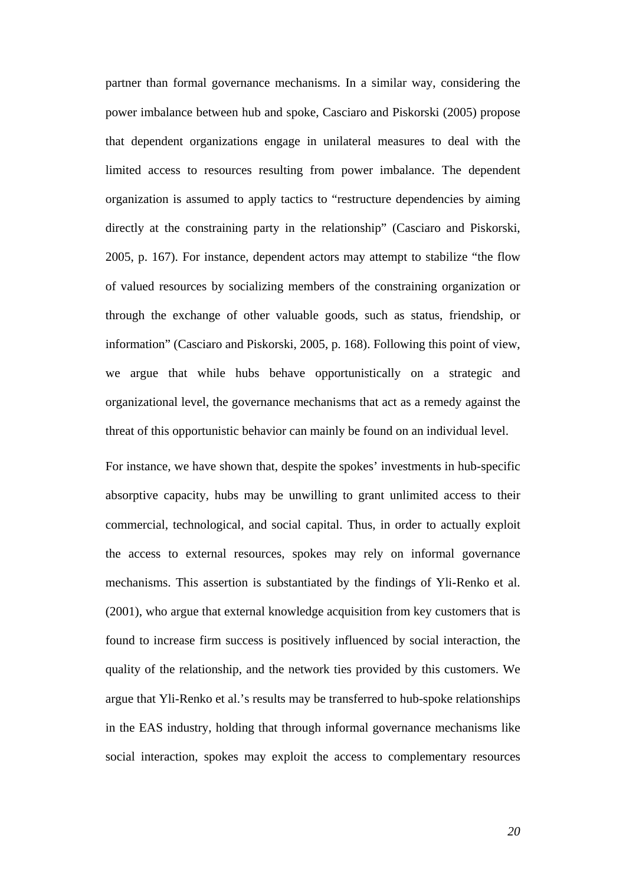partner than formal governance mechanisms. In a similar way, considering the power imbalance between hub and spoke, Casciaro and Piskorski (2005) propose that dependent organizations engage in unilateral measures to deal with the limited access to resources resulting from power imbalance. The dependent organization is assumed to apply tactics to "restructure dependencies by aiming directly at the constraining party in the relationship" (Casciaro and Piskorski, 2005, p. 167). For instance, dependent actors may attempt to stabilize "the flow of valued resources by socializing members of the constraining organization or through the exchange of other valuable goods, such as status, friendship, or information" (Casciaro and Piskorski, 2005, p. 168). Following this point of view, we argue that while hubs behave opportunistically on a strategic and organizational level, the governance mechanisms that act as a remedy against the threat of this opportunistic behavior can mainly be found on an individual level.

For instance, we have shown that, despite the spokes' investments in hub-specific absorptive capacity, hubs may be unwilling to grant unlimited access to their commercial, technological, and social capital. Thus, in order to actually exploit the access to external resources, spokes may rely on informal governance mechanisms. This assertion is substantiated by the findings of Yli-Renko et al. (2001), who argue that external knowledge acquisition from key customers that is found to increase firm success is positively influenced by social interaction, the quality of the relationship, and the network ties provided by this customers. We argue that Yli-Renko et al.'s results may be transferred to hub-spoke relationships in the EAS industry, holding that through informal governance mechanisms like social interaction, spokes may exploit the access to complementary resources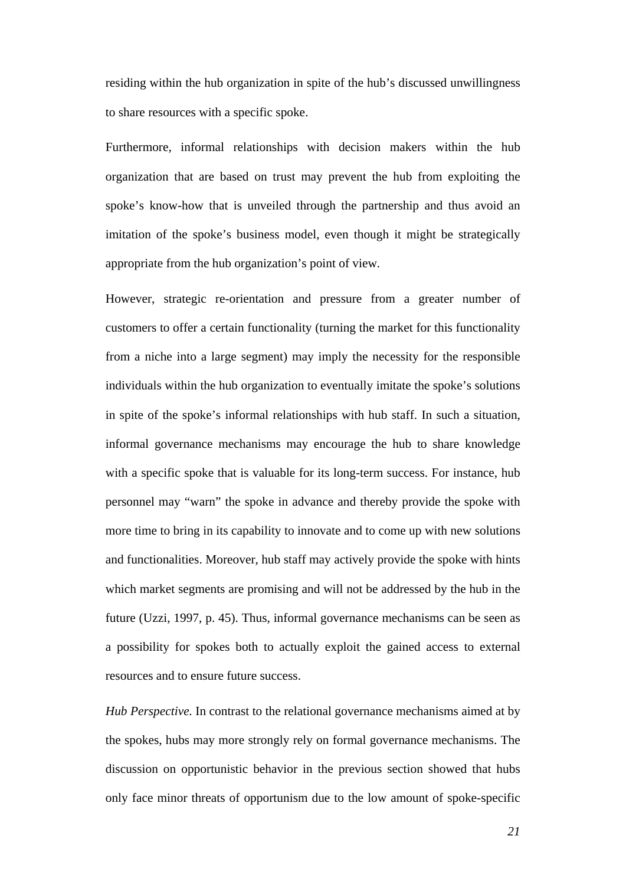residing within the hub organization in spite of the hub's discussed unwillingness to share resources with a specific spoke.

Furthermore, informal relationships with decision makers within the hub organization that are based on trust may prevent the hub from exploiting the spoke's know-how that is unveiled through the partnership and thus avoid an imitation of the spoke's business model, even though it might be strategically appropriate from the hub organization's point of view.

However, strategic re-orientation and pressure from a greater number of customers to offer a certain functionality (turning the market for this functionality from a niche into a large segment) may imply the necessity for the responsible individuals within the hub organization to eventually imitate the spoke's solutions in spite of the spoke's informal relationships with hub staff. In such a situation, informal governance mechanisms may encourage the hub to share knowledge with a specific spoke that is valuable for its long-term success. For instance, hub personnel may "warn" the spoke in advance and thereby provide the spoke with more time to bring in its capability to innovate and to come up with new solutions and functionalities. Moreover, hub staff may actively provide the spoke with hints which market segments are promising and will not be addressed by the hub in the future (Uzzi, 1997, p. 45). Thus, informal governance mechanisms can be seen as a possibility for spokes both to actually exploit the gained access to external resources and to ensure future success.

*Hub Perspective.* In contrast to the relational governance mechanisms aimed at by the spokes, hubs may more strongly rely on formal governance mechanisms. The discussion on opportunistic behavior in the previous section showed that hubs only face minor threats of opportunism due to the low amount of spoke-specific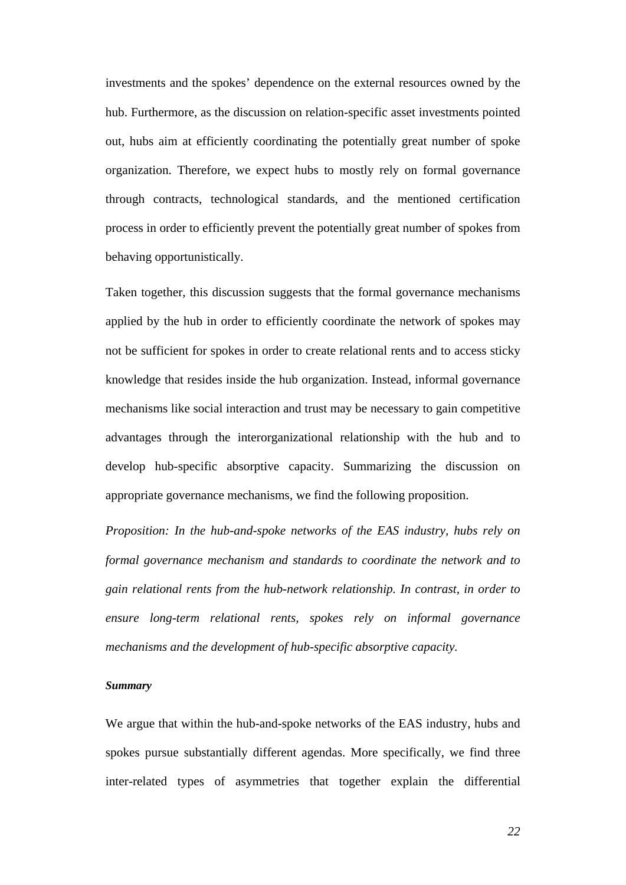investments and the spokes' dependence on the external resources owned by the hub. Furthermore, as the discussion on relation-specific asset investments pointed out, hubs aim at efficiently coordinating the potentially great number of spoke organization. Therefore, we expect hubs to mostly rely on formal governance through contracts, technological standards, and the mentioned certification process in order to efficiently prevent the potentially great number of spokes from behaving opportunistically.

Taken together, this discussion suggests that the formal governance mechanisms applied by the hub in order to efficiently coordinate the network of spokes may not be sufficient for spokes in order to create relational rents and to access sticky knowledge that resides inside the hub organization. Instead, informal governance mechanisms like social interaction and trust may be necessary to gain competitive advantages through the interorganizational relationship with the hub and to develop hub-specific absorptive capacity. Summarizing the discussion on appropriate governance mechanisms, we find the following proposition.

*Proposition: In the hub-and-spoke networks of the EAS industry, hubs rely on formal governance mechanism and standards to coordinate the network and to gain relational rents from the hub-network relationship. In contrast, in order to ensure long-term relational rents, spokes rely on informal governance mechanisms and the development of hub-specific absorptive capacity.* 

#### *Summary*

We argue that within the hub-and-spoke networks of the EAS industry, hubs and spokes pursue substantially different agendas. More specifically, we find three inter-related types of asymmetries that together explain the differential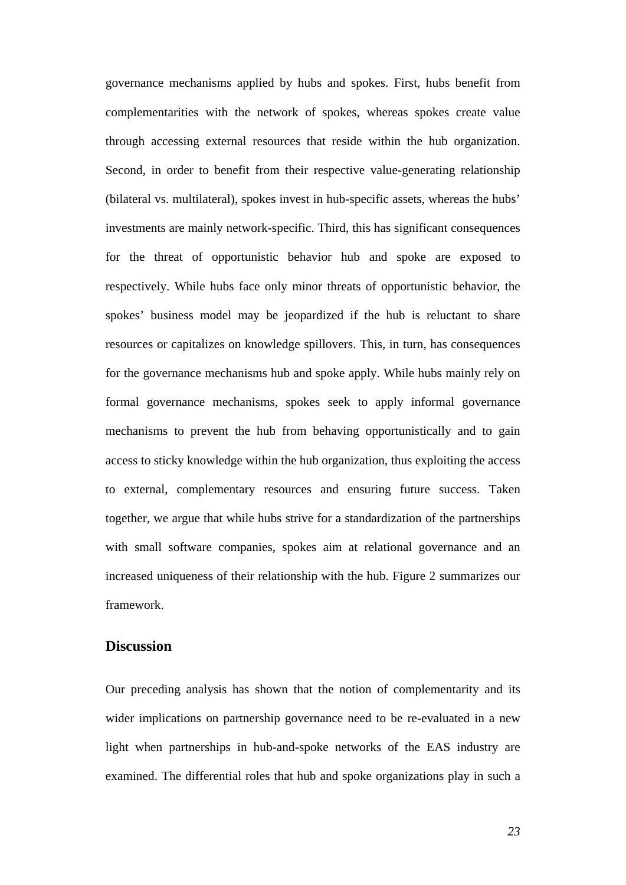governance mechanisms applied by hubs and spokes. First, hubs benefit from complementarities with the network of spokes, whereas spokes create value through accessing external resources that reside within the hub organization. Second, in order to benefit from their respective value-generating relationship (bilateral vs. multilateral), spokes invest in hub-specific assets, whereas the hubs' investments are mainly network-specific. Third, this has significant consequences for the threat of opportunistic behavior hub and spoke are exposed to respectively. While hubs face only minor threats of opportunistic behavior, the spokes' business model may be jeopardized if the hub is reluctant to share resources or capitalizes on knowledge spillovers. This, in turn, has consequences for the governance mechanisms hub and spoke apply. While hubs mainly rely on formal governance mechanisms, spokes seek to apply informal governance mechanisms to prevent the hub from behaving opportunistically and to gain access to sticky knowledge within the hub organization, thus exploiting the access to external, complementary resources and ensuring future success. Taken together, we argue that while hubs strive for a standardization of the partnerships with small software companies, spokes aim at relational governance and an increased uniqueness of their relationship with the hub. Figure 2 summarizes our framework.

## **Discussion**

Our preceding analysis has shown that the notion of complementarity and its wider implications on partnership governance need to be re-evaluated in a new light when partnerships in hub-and-spoke networks of the EAS industry are examined. The differential roles that hub and spoke organizations play in such a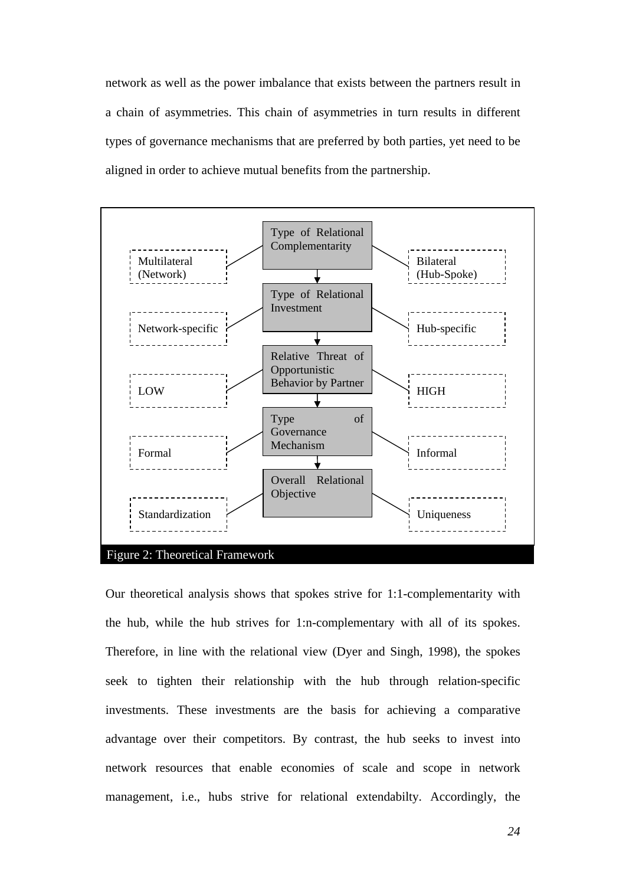network as well as the power imbalance that exists between the partners result in a chain of asymmetries. This chain of asymmetries in turn results in different types of governance mechanisms that are preferred by both parties, yet need to be aligned in order to achieve mutual benefits from the partnership.



Our theoretical analysis shows that spokes strive for 1:1-complementarity with the hub, while the hub strives for 1:n-complementary with all of its spokes. Therefore, in line with the relational view (Dyer and Singh, 1998), the spokes seek to tighten their relationship with the hub through relation-specific investments. These investments are the basis for achieving a comparative advantage over their competitors. By contrast, the hub seeks to invest into network resources that enable economies of scale and scope in network management, i.e., hubs strive for relational extendabilty. Accordingly, the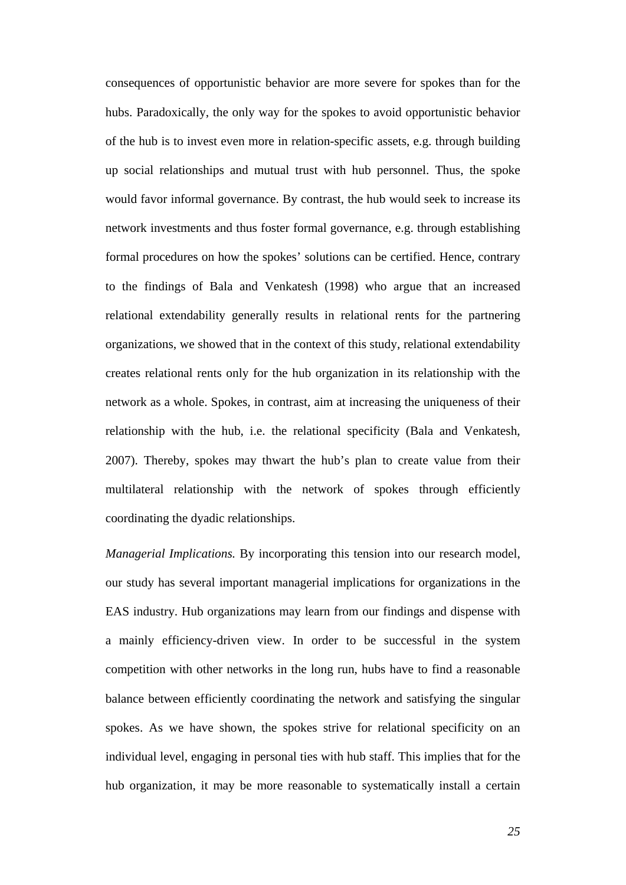consequences of opportunistic behavior are more severe for spokes than for the hubs. Paradoxically, the only way for the spokes to avoid opportunistic behavior of the hub is to invest even more in relation-specific assets, e.g. through building up social relationships and mutual trust with hub personnel. Thus, the spoke would favor informal governance. By contrast, the hub would seek to increase its network investments and thus foster formal governance, e.g. through establishing formal procedures on how the spokes' solutions can be certified. Hence, contrary to the findings of Bala and Venkatesh (1998) who argue that an increased relational extendability generally results in relational rents for the partnering organizations, we showed that in the context of this study, relational extendability creates relational rents only for the hub organization in its relationship with the network as a whole. Spokes, in contrast, aim at increasing the uniqueness of their relationship with the hub, i.e. the relational specificity (Bala and Venkatesh, 2007). Thereby, spokes may thwart the hub's plan to create value from their multilateral relationship with the network of spokes through efficiently coordinating the dyadic relationships.

*Managerial Implications.* By incorporating this tension into our research model, our study has several important managerial implications for organizations in the EAS industry. Hub organizations may learn from our findings and dispense with a mainly efficiency-driven view. In order to be successful in the system competition with other networks in the long run, hubs have to find a reasonable balance between efficiently coordinating the network and satisfying the singular spokes. As we have shown, the spokes strive for relational specificity on an individual level, engaging in personal ties with hub staff. This implies that for the hub organization, it may be more reasonable to systematically install a certain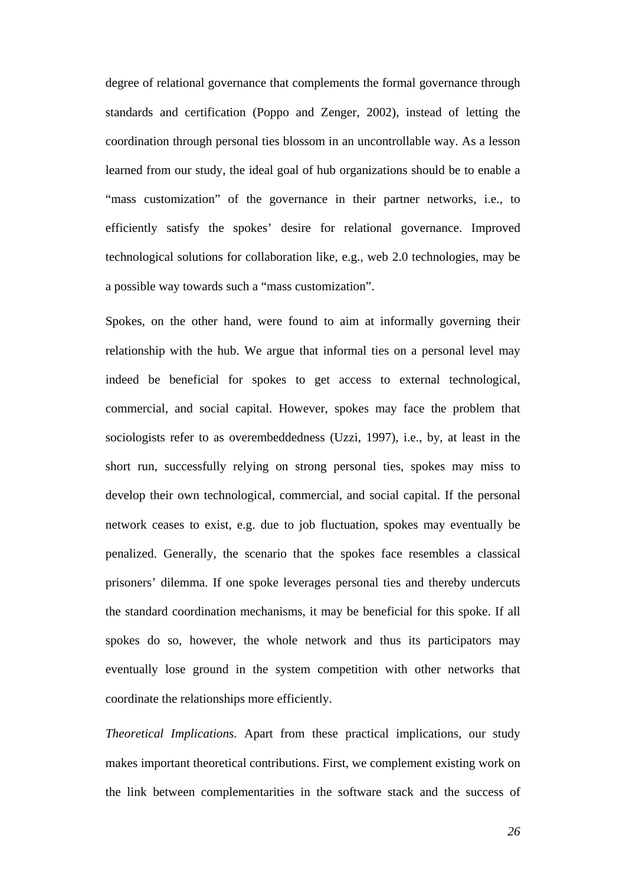degree of relational governance that complements the formal governance through standards and certification (Poppo and Zenger, 2002), instead of letting the coordination through personal ties blossom in an uncontrollable way. As a lesson learned from our study, the ideal goal of hub organizations should be to enable a "mass customization" of the governance in their partner networks, i.e., to efficiently satisfy the spokes' desire for relational governance. Improved technological solutions for collaboration like, e.g., web 2.0 technologies, may be a possible way towards such a "mass customization".

Spokes, on the other hand, were found to aim at informally governing their relationship with the hub. We argue that informal ties on a personal level may indeed be beneficial for spokes to get access to external technological, commercial, and social capital. However, spokes may face the problem that sociologists refer to as overembeddedness (Uzzi, 1997), i.e., by, at least in the short run, successfully relying on strong personal ties, spokes may miss to develop their own technological, commercial, and social capital. If the personal network ceases to exist, e.g. due to job fluctuation, spokes may eventually be penalized. Generally, the scenario that the spokes face resembles a classical prisoners' dilemma. If one spoke leverages personal ties and thereby undercuts the standard coordination mechanisms, it may be beneficial for this spoke. If all spokes do so, however, the whole network and thus its participators may eventually lose ground in the system competition with other networks that coordinate the relationships more efficiently.

*Theoretical Implications.* Apart from these practical implications, our study makes important theoretical contributions. First, we complement existing work on the link between complementarities in the software stack and the success of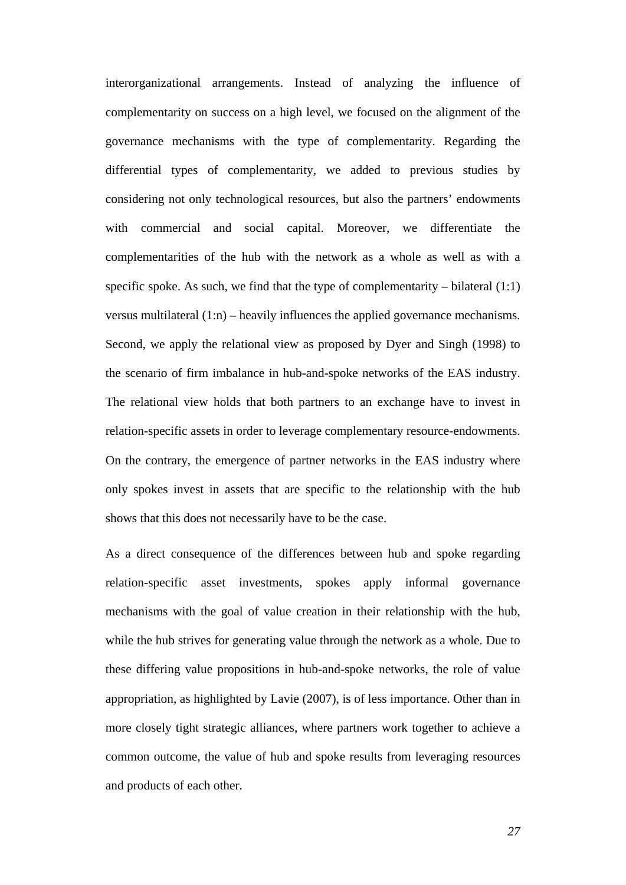interorganizational arrangements. Instead of analyzing the influence of complementarity on success on a high level, we focused on the alignment of the governance mechanisms with the type of complementarity. Regarding the differential types of complementarity, we added to previous studies by considering not only technological resources, but also the partners' endowments with commercial and social capital. Moreover, we differentiate the complementarities of the hub with the network as a whole as well as with a specific spoke. As such, we find that the type of complementarity – bilateral  $(1:1)$ versus multilateral (1:n) – heavily influences the applied governance mechanisms. Second, we apply the relational view as proposed by Dyer and Singh (1998) to the scenario of firm imbalance in hub-and-spoke networks of the EAS industry. The relational view holds that both partners to an exchange have to invest in relation-specific assets in order to leverage complementary resource-endowments. On the contrary, the emergence of partner networks in the EAS industry where only spokes invest in assets that are specific to the relationship with the hub shows that this does not necessarily have to be the case.

As a direct consequence of the differences between hub and spoke regarding relation-specific asset investments, spokes apply informal governance mechanisms with the goal of value creation in their relationship with the hub, while the hub strives for generating value through the network as a whole. Due to these differing value propositions in hub-and-spoke networks, the role of value appropriation, as highlighted by Lavie (2007), is of less importance. Other than in more closely tight strategic alliances, where partners work together to achieve a common outcome, the value of hub and spoke results from leveraging resources and products of each other.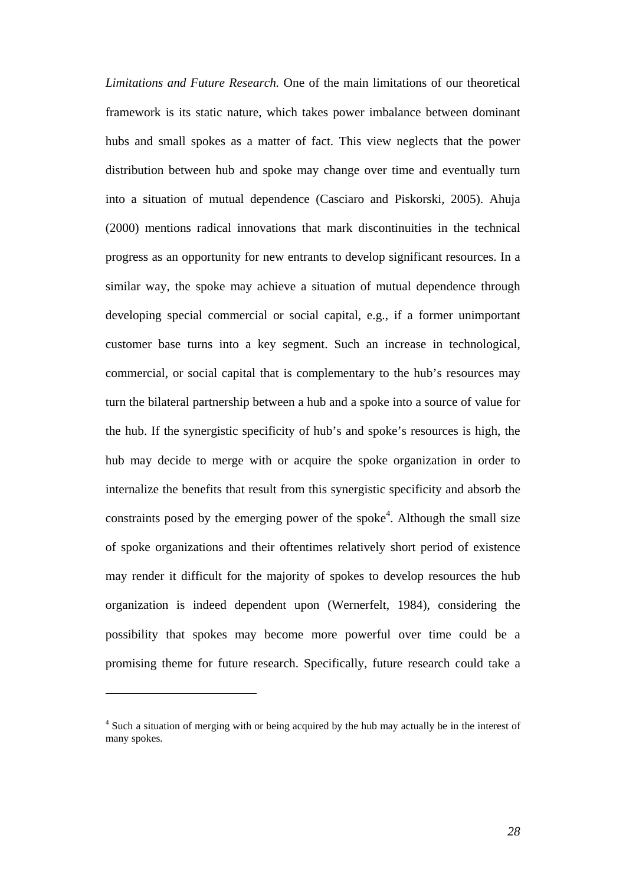*Limitations and Future Research.* One of the main limitations of our theoretical framework is its static nature, which takes power imbalance between dominant hubs and small spokes as a matter of fact. This view neglects that the power distribution between hub and spoke may change over time and eventually turn into a situation of mutual dependence (Casciaro and Piskorski, 2005). Ahuja (2000) mentions radical innovations that mark discontinuities in the technical progress as an opportunity for new entrants to develop significant resources. In a similar way, the spoke may achieve a situation of mutual dependence through developing special commercial or social capital, e.g., if a former unimportant customer base turns into a key segment. Such an increase in technological, commercial, or social capital that is complementary to the hub's resources may turn the bilateral partnership between a hub and a spoke into a source of value for the hub. If the synergistic specificity of hub's and spoke's resources is high, the hub may decide to merge with or acquire the spoke organization in order to internalize the benefits that result from this synergistic specificity and absorb the constraints posed by the emerging power of the spoke<sup>4</sup>. Although the small size of spoke organizations and their oftentimes relatively short period of existence may render it difficult for the majority of spokes to develop resources the hub organization is indeed dependent upon (Wernerfelt, 1984), considering the possibility that spokes may become more powerful over time could be a promising theme for future research. Specifically, future research could take a

 $\overline{a}$ 

<sup>&</sup>lt;sup>4</sup> Such a situation of merging with or being acquired by the hub may actually be in the interest of many spokes.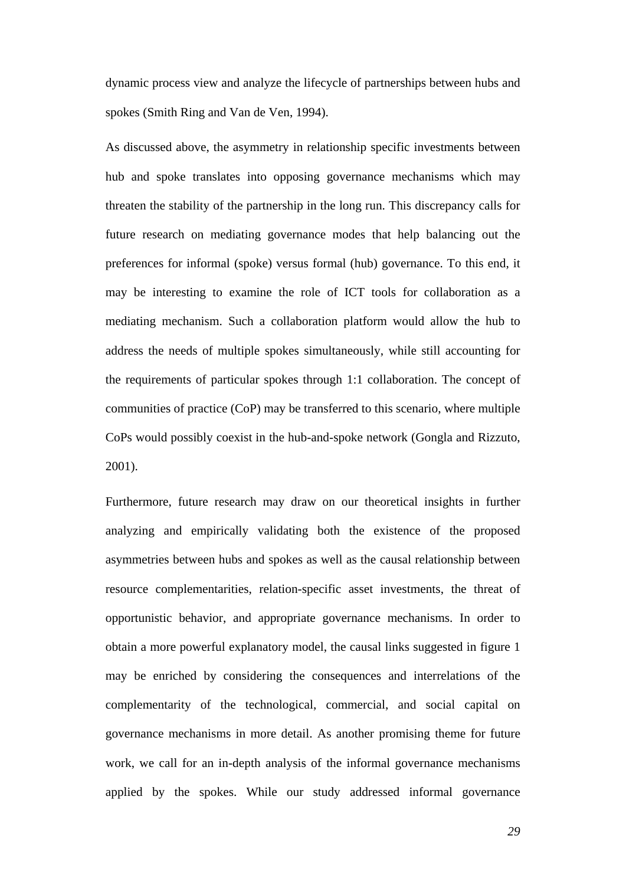dynamic process view and analyze the lifecycle of partnerships between hubs and spokes (Smith Ring and Van de Ven, 1994).

As discussed above, the asymmetry in relationship specific investments between hub and spoke translates into opposing governance mechanisms which may threaten the stability of the partnership in the long run. This discrepancy calls for future research on mediating governance modes that help balancing out the preferences for informal (spoke) versus formal (hub) governance. To this end, it may be interesting to examine the role of ICT tools for collaboration as a mediating mechanism. Such a collaboration platform would allow the hub to address the needs of multiple spokes simultaneously, while still accounting for the requirements of particular spokes through 1:1 collaboration. The concept of communities of practice (CoP) may be transferred to this scenario, where multiple CoPs would possibly coexist in the hub-and-spoke network (Gongla and Rizzuto, 2001).

Furthermore, future research may draw on our theoretical insights in further analyzing and empirically validating both the existence of the proposed asymmetries between hubs and spokes as well as the causal relationship between resource complementarities, relation-specific asset investments, the threat of opportunistic behavior, and appropriate governance mechanisms. In order to obtain a more powerful explanatory model, the causal links suggested in figure 1 may be enriched by considering the consequences and interrelations of the complementarity of the technological, commercial, and social capital on governance mechanisms in more detail. As another promising theme for future work, we call for an in-depth analysis of the informal governance mechanisms applied by the spokes. While our study addressed informal governance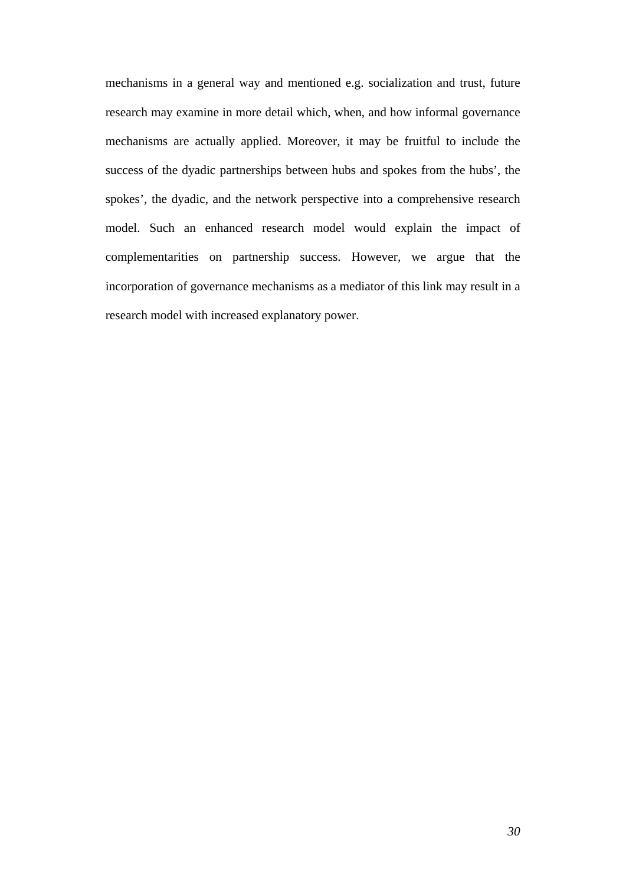mechanisms in a general way and mentioned e.g. socialization and trust, future research may examine in more detail which, when, and how informal governance mechanisms are actually applied. Moreover, it may be fruitful to include the success of the dyadic partnerships between hubs and spokes from the hubs', the spokes', the dyadic, and the network perspective into a comprehensive research model. Such an enhanced research model would explain the impact of complementarities on partnership success. However, we argue that the incorporation of governance mechanisms as a mediator of this link may result in a research model with increased explanatory power.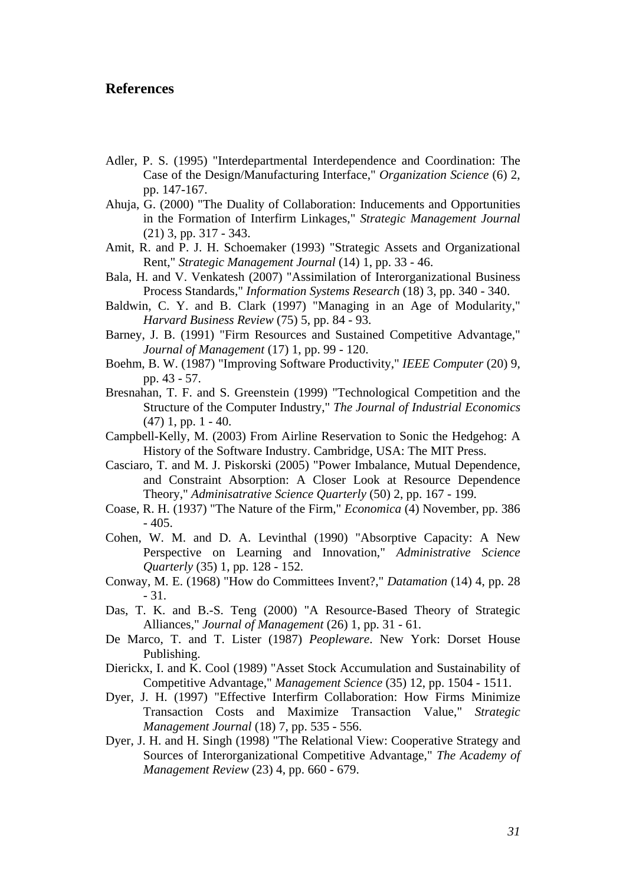## **References**

- Adler, P. S. (1995) "Interdepartmental Interdependence and Coordination: The Case of the Design/Manufacturing Interface," *Organization Science* (6) 2, pp. 147-167.
- Ahuja, G. (2000) "The Duality of Collaboration: Inducements and Opportunities in the Formation of Interfirm Linkages," *Strategic Management Journal* (21) 3, pp. 317 - 343.
- Amit, R. and P. J. H. Schoemaker (1993) "Strategic Assets and Organizational Rent," *Strategic Management Journal* (14) 1, pp. 33 - 46.
- Bala, H. and V. Venkatesh (2007) "Assimilation of Interorganizational Business Process Standards," *Information Systems Research* (18) 3, pp. 340 - 340.
- Baldwin, C. Y. and B. Clark (1997) "Managing in an Age of Modularity," *Harvard Business Review* (75) 5, pp. 84 - 93.
- Barney, J. B. (1991) "Firm Resources and Sustained Competitive Advantage," *Journal of Management* (17) 1, pp. 99 - 120.
- Boehm, B. W. (1987) "Improving Software Productivity," *IEEE Computer* (20) 9, pp. 43 - 57.
- Bresnahan, T. F. and S. Greenstein (1999) "Technological Competition and the Structure of the Computer Industry," *The Journal of Industrial Economics* (47) 1, pp. 1 - 40.
- Campbell-Kelly, M. (2003) From Airline Reservation to Sonic the Hedgehog: A History of the Software Industry. Cambridge, USA: The MIT Press.
- Casciaro, T. and M. J. Piskorski (2005) "Power Imbalance, Mutual Dependence, and Constraint Absorption: A Closer Look at Resource Dependence Theory," *Adminisatrative Science Quarterly* (50) 2, pp. 167 - 199.
- Coase, R. H. (1937) "The Nature of the Firm," *Economica* (4) November, pp. 386  $-405.$
- Cohen, W. M. and D. A. Levinthal (1990) "Absorptive Capacity: A New Perspective on Learning and Innovation," *Administrative Science Quarterly* (35) 1, pp. 128 - 152.
- Conway, M. E. (1968) "How do Committees Invent?," *Datamation* (14) 4, pp. 28 - 31.
- Das, T. K. and B.-S. Teng (2000) "A Resource-Based Theory of Strategic Alliances," *Journal of Management* (26) 1, pp. 31 - 61.
- De Marco, T. and T. Lister (1987) *Peopleware*. New York: Dorset House Publishing.
- Dierickx, I. and K. Cool (1989) "Asset Stock Accumulation and Sustainability of Competitive Advantage," *Management Science* (35) 12, pp. 1504 - 1511.
- Dyer, J. H. (1997) "Effective Interfirm Collaboration: How Firms Minimize Transaction Costs and Maximize Transaction Value," *Strategic Management Journal* (18) 7, pp. 535 - 556.
- Dyer, J. H. and H. Singh (1998) "The Relational View: Cooperative Strategy and Sources of Interorganizational Competitive Advantage," *The Academy of Management Review* (23) 4, pp. 660 - 679.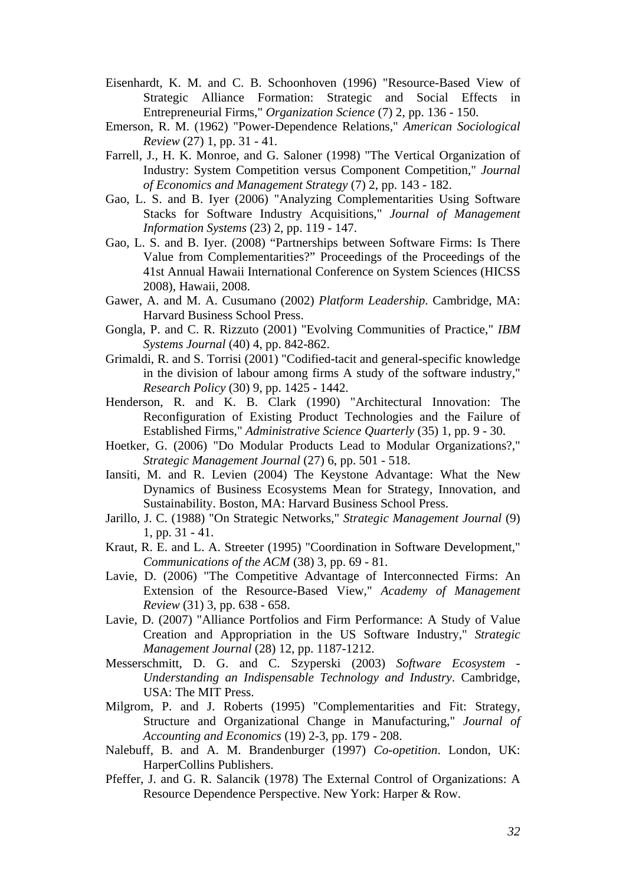- Eisenhardt, K. M. and C. B. Schoonhoven (1996) "Resource-Based View of Strategic Alliance Formation: Strategic and Social Effects in Entrepreneurial Firms," *Organization Science* (7) 2, pp. 136 - 150.
- Emerson, R. M. (1962) "Power-Dependence Relations," *American Sociological Review* (27) 1, pp. 31 - 41.
- Farrell, J., H. K. Monroe, and G. Saloner (1998) "The Vertical Organization of Industry: System Competition versus Component Competition," *Journal of Economics and Management Strategy* (7) 2, pp. 143 - 182.
- Gao, L. S. and B. Iyer (2006) "Analyzing Complementarities Using Software Stacks for Software Industry Acquisitions," *Journal of Management Information Systems* (23) 2, pp. 119 - 147.
- Gao, L. S. and B. Iyer. (2008) "Partnerships between Software Firms: Is There Value from Complementarities?" Proceedings of the Proceedings of the 41st Annual Hawaii International Conference on System Sciences (HICSS 2008), Hawaii, 2008.
- Gawer, A. and M. A. Cusumano (2002) *Platform Leadership*. Cambridge, MA: Harvard Business School Press.
- Gongla, P. and C. R. Rizzuto (2001) "Evolving Communities of Practice," *IBM Systems Journal* (40) 4, pp. 842-862.
- Grimaldi, R. and S. Torrisi (2001) "Codified-tacit and general-specific knowledge in the division of labour among firms A study of the software industry," *Research Policy* (30) 9, pp. 1425 - 1442.
- Henderson, R. and K. B. Clark (1990) "Architectural Innovation: The Reconfiguration of Existing Product Technologies and the Failure of Established Firms," *Administrative Science Quarterly* (35) 1, pp. 9 - 30.
- Hoetker, G. (2006) "Do Modular Products Lead to Modular Organizations?," *Strategic Management Journal* (27) 6, pp. 501 - 518.
- Iansiti, M. and R. Levien (2004) The Keystone Advantage: What the New Dynamics of Business Ecosystems Mean for Strategy, Innovation, and Sustainability. Boston, MA: Harvard Business School Press.
- Jarillo, J. C. (1988) "On Strategic Networks," *Strategic Management Journal* (9) 1, pp. 31 - 41.
- Kraut, R. E. and L. A. Streeter (1995) "Coordination in Software Development," *Communications of the ACM* (38) 3, pp. 69 - 81.
- Lavie, D. (2006) "The Competitive Advantage of Interconnected Firms: An Extension of the Resource-Based View," *Academy of Management Review* (31) 3, pp. 638 - 658.
- Lavie, D. (2007) "Alliance Portfolios and Firm Performance: A Study of Value Creation and Appropriation in the US Software Industry," *Strategic Management Journal* (28) 12, pp. 1187-1212.
- Messerschmitt, D. G. and C. Szyperski (2003) *Software Ecosystem Understanding an Indispensable Technology and Industry*. Cambridge, USA: The MIT Press.
- Milgrom, P. and J. Roberts (1995) "Complementarities and Fit: Strategy, Structure and Organizational Change in Manufacturing," *Journal of Accounting and Economics* (19) 2-3, pp. 179 - 208.
- Nalebuff, B. and A. M. Brandenburger (1997) *Co-opetition*. London, UK: HarperCollins Publishers.
- Pfeffer, J. and G. R. Salancik (1978) The External Control of Organizations: A Resource Dependence Perspective. New York: Harper & Row.